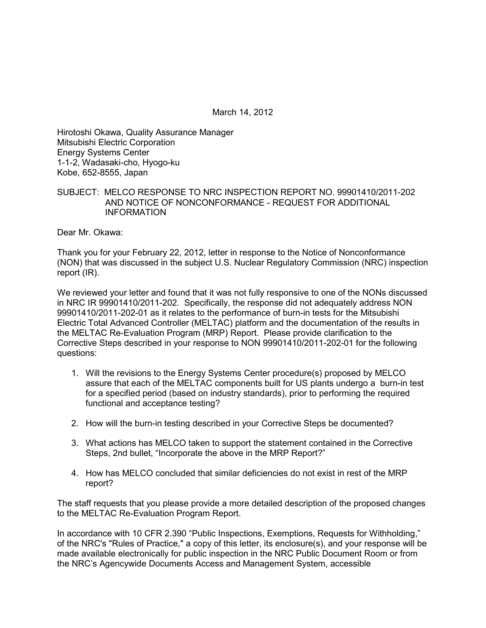March 14, 2012

Hirotoshi Okawa, Quality Assurance Manager Mitsubishi Electric Corporation Energy Systems Center 1-1-2, Wadasaki-cho, Hyogo-ku Kobe, 652-8555, Japan

### SUBJECT: MELCO RESPONSE TO NRC INSPECTION REPORT NO. 99901410/2011-202 AND NOTICE OF NONCONFORMANCE - REQUEST FOR ADDITIONAL INFORMATION

Dear Mr. Okawa:

Thank you for your February 22, 2012, letter in response to the Notice of Nonconformance (NON) that was discussed in the subject U.S. Nuclear Regulatory Commission (NRC) inspection report (IR).

We reviewed your letter and found that it was not fully responsive to one of the NONs discussed in NRC IR 99901410/2011-202. Specifically, the response did not adequately address NON 99901410/2011-202-01 as it relates to the performance of burn-in tests for the Mitsubishi Electric Total Advanced Controller (MELTAC) platform and the documentation of the results in the MELTAC Re-Evaluation Program (MRP) Report. Please provide clarification to the Corrective Steps described in your response to NON 99901410/2011-202-01 for the following questions:

- 1. Will the revisions to the Energy Systems Center procedure(s) proposed by MELCO assure that each of the MELTAC components built for US plants undergo a burn-in test for a specified period (based on industry standards), prior to performing the required functional and acceptance testing?
- 2. How will the burn-in testing described in your Corrective Steps be documented?
- 3. What actions has MELCO taken to support the statement contained in the Corrective Steps, 2nd bullet, "Incorporate the above in the MRP Report?"
- 4. How has MELCO concluded that similar deficiencies do not exist in rest of the MRP report?

The staff requests that you please provide a more detailed description of the proposed changes to the MELTAC Re-Evaluation Program Report.

In accordance with 10 CFR 2.390 "Public Inspections, Exemptions, Requests for Withholding," of the NRC's "Rules of Practice," a copy of this letter, its enclosure(s), and your response will be made available electronically for public inspection in the NRC Public Document Room or from the NRC's Agencywide Documents Access and Management System, accessible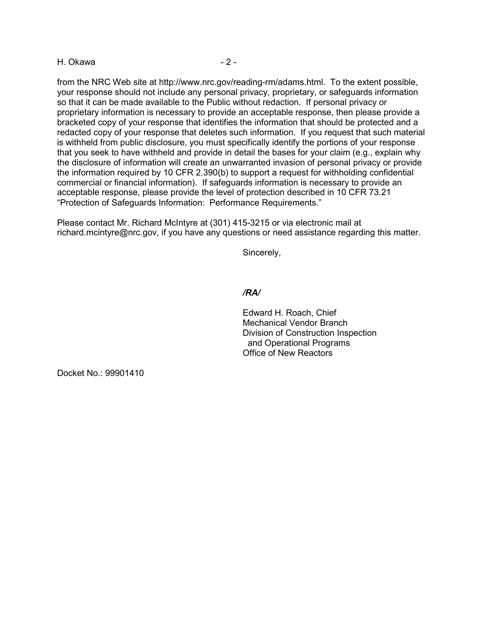#### H. Okawa  $-2$  -

from the NRC Web site at http://www.nrc.gov/reading-rm/adams.html. To the extent possible, your response should not include any personal privacy, proprietary, or safeguards information so that it can be made available to the Public without redaction. If personal privacy or proprietary information is necessary to provide an acceptable response, then please provide a bracketed copy of your response that identifies the information that should be protected and a redacted copy of your response that deletes such information. If you request that such material is withheld from public disclosure, you must specifically identify the portions of your response that you seek to have withheld and provide in detail the bases for your claim (e.g., explain why the disclosure of information will create an unwarranted invasion of personal privacy or provide the information required by 10 CFR 2.390(b) to support a request for withholding confidential commercial or financial information). If safeguards information is necessary to provide an acceptable response, please provide the level of protection described in 10 CFR 73.21 "Protection of Safeguards Information: Performance Requirements."

Please contact Mr. Richard McIntyre at (301) 415-3215 or via electronic mail at richard.mcintyre@nrc.gov, if you have any questions or need assistance regarding this matter.

Sincerely,

# */RA/*

Edward H. Roach, Chief Mechanical Vendor Branch Division of Construction Inspection and Operational Programs Office of New Reactors

Docket No.: 99901410